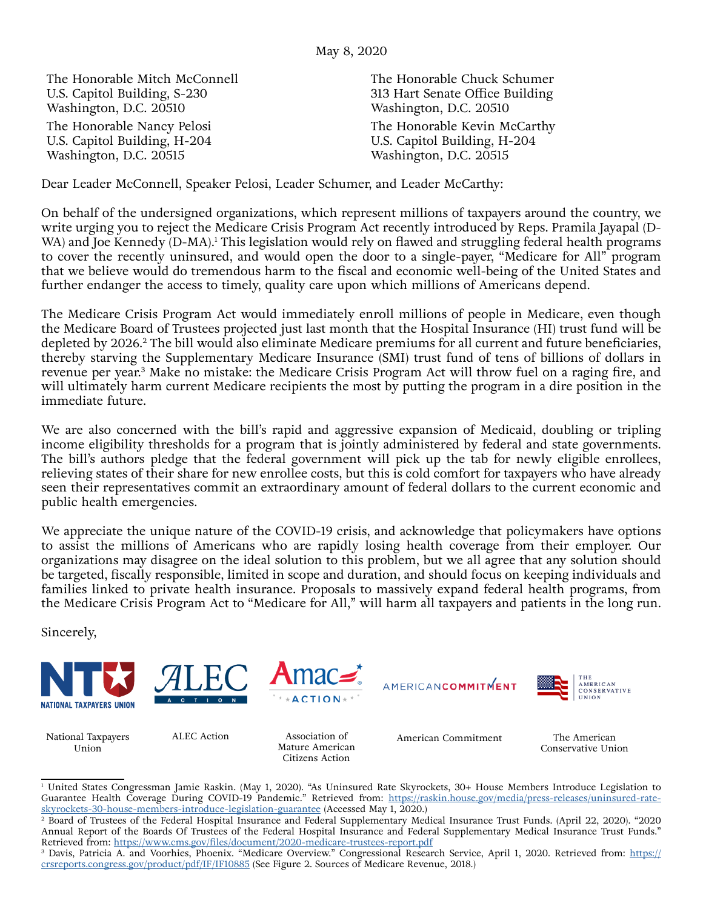The Honorable Mitch McConnell U.S. Capitol Building, S-230 Washington, D.C. 20510 The Honorable Nancy Pelosi U.S. Capitol Building, H-204 Washington, D.C. 20515

The Honorable Chuck Schumer 313 Hart Senate Office Building Washington, D.C. 20510 The Honorable Kevin McCarthy U.S. Capitol Building, H-204 Washington, D.C. 20515

Dear Leader McConnell, Speaker Pelosi, Leader Schumer, and Leader McCarthy:

On behalf of the undersigned organizations, which represent millions of taxpayers around the country, we write urging you to reject the Medicare Crisis Program Act recently introduced by Reps. Pramila Jayapal (D-WA) and Joe Kennedy (D-MA).<sup>1</sup> This legislation would rely on flawed and struggling federal health programs to cover the recently uninsured, and would open the door to a single-payer, "Medicare for All" program that we believe would do tremendous harm to the fiscal and economic well-being of the United States and further endanger the access to timely, quality care upon which millions of Americans depend.

The Medicare Crisis Program Act would immediately enroll millions of people in Medicare, even though the Medicare Board of Trustees projected just last month that the Hospital Insurance (HI) trust fund will be depleted by 2026.2 The bill would also eliminate Medicare premiums for all current and future beneficiaries, thereby starving the Supplementary Medicare Insurance (SMI) trust fund of tens of billions of dollars in revenue per year.3 Make no mistake: the Medicare Crisis Program Act will throw fuel on a raging fire, and will ultimately harm current Medicare recipients the most by putting the program in a dire position in the immediate future.

We are also concerned with the bill's rapid and aggressive expansion of Medicaid, doubling or tripling income eligibility thresholds for a program that is jointly administered by federal and state governments. The bill's authors pledge that the federal government will pick up the tab for newly eligible enrollees, relieving states of their share for new enrollee costs, but this is cold comfort for taxpayers who have already seen their representatives commit an extraordinary amount of federal dollars to the current economic and public health emergencies.

We appreciate the unique nature of the COVID-19 crisis, and acknowledge that policymakers have options to assist the millions of Americans who are rapidly losing health coverage from their employer. Our organizations may disagree on the ideal solution to this problem, but we all agree that any solution should be targeted, fiscally responsible, limited in scope and duration, and should focus on keeping individuals and families linked to private health insurance. Proposals to massively expand federal health programs, from the Medicare Crisis Program Act to "Medicare for All," will harm all taxpayers and patients in the long run.

Sincerely,



National Taxpayers Union

Mature American Citizens Action

ALEC Action Association of American Commitment

The American Conservative Union

<sup>1</sup> United States Congressman Jamie Raskin. (May 1, 2020). "As Uninsured Rate Skyrockets, 30+ House Members Introduce Legislation to Guarantee Health Coverage During COVID-19 Pandemic." Retrieved from: [https://raskin.house.gov/media/press-releases/uninsured-rate](https://raskin.house.gov/media/press-releases/uninsured-rate-skyrockets-30-house-members-introduce-legislation-guarantee)[skyrockets-30-house-members-introduce-legislation-guarantee](https://raskin.house.gov/media/press-releases/uninsured-rate-skyrockets-30-house-members-introduce-legislation-guarantee) (Accessed May 1, 2020.)

<sup>2</sup> Board of Trustees of the Federal Hospital Insurance and Federal Supplementary Medical Insurance Trust Funds. (April 22, 2020). "2020 Annual Report of the Boards Of Trustees of the Federal Hospital Insurance and Federal Supplementary Medical Insurance Trust Funds."

Retrieved from: <u>[https://](https://crsreports.congress.gov/product/pdf/IF/IF10885)www.cms.gov/files/document/2020-medicare-trustees-report.pdf</u><br><sup>3</sup> Davis, Patricia A. and Voorhies, Phoenix. "Medicare Overview." Congressional Research Service, April 1, 2020. Retrieved from: <u>http</u> [crsreports.congress.gov/product/pdf/IF/IF10885](https://crsreports.congress.gov/product/pdf/IF/IF10885) (See Figure 2. Sources of Medicare Revenue, 2018.)